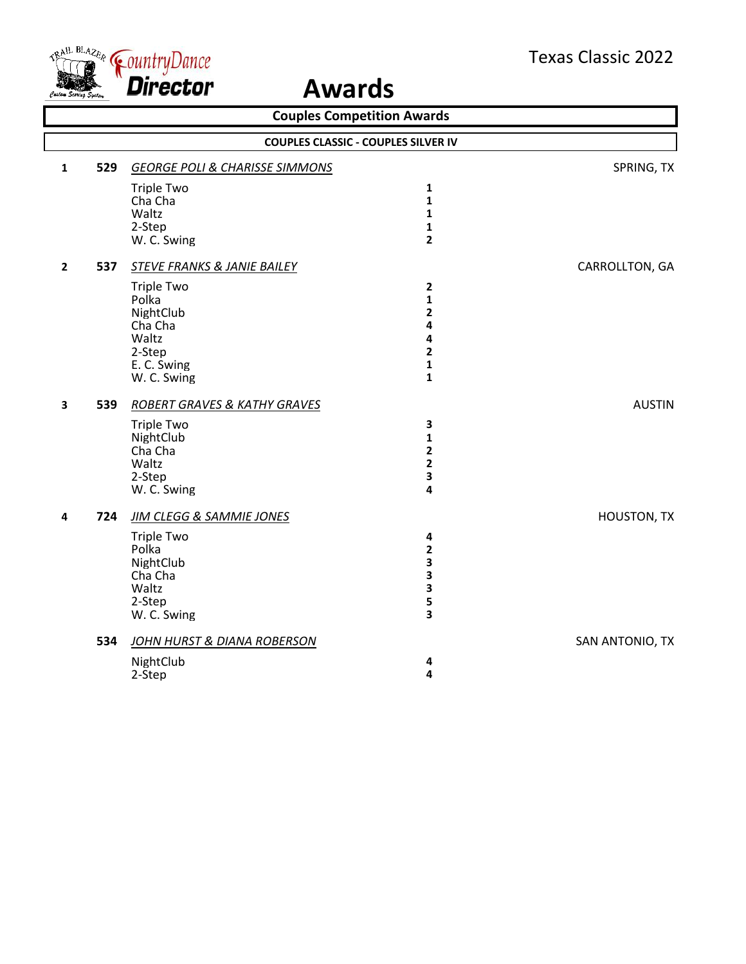

| <b>Couples Competition Awards</b> |     |                                                                                                                             |                                                                                                                             |                    |
|-----------------------------------|-----|-----------------------------------------------------------------------------------------------------------------------------|-----------------------------------------------------------------------------------------------------------------------------|--------------------|
|                                   |     |                                                                                                                             | <b>COUPLES CLASSIC - COUPLES SILVER IV</b>                                                                                  |                    |
| 1                                 | 529 | <b>GEORGE POLI &amp; CHARISSE SIMMONS</b>                                                                                   |                                                                                                                             | SPRING, TX         |
|                                   |     | <b>Triple Two</b><br>Cha Cha<br>Waltz                                                                                       | $\mathbf{1}$<br>$\mathbf{1}$<br>$\mathbf{1}$                                                                                |                    |
|                                   |     | 2-Step<br>W. C. Swing                                                                                                       | $\mathbf{1}$<br>$\overline{\mathbf{2}}$                                                                                     |                    |
| $\overline{2}$                    | 537 | STEVE FRANKS & JANIE BAILEY                                                                                                 |                                                                                                                             | CARROLLTON, GA     |
|                                   |     | <b>Triple Two</b><br>Polka<br>NightClub<br>Cha Cha<br>Waltz<br>2-Step<br>E. C. Swing<br>W. C. Swing                         | $\mathbf{2}$<br>$\mathbf{1}$<br>$\overline{\mathbf{2}}$<br>4<br>4<br>$\overline{\mathbf{2}}$<br>$\mathbf 1$<br>$\mathbf{1}$ |                    |
| $\mathbf{3}$                      | 539 | ROBERT GRAVES & KATHY GRAVES                                                                                                |                                                                                                                             | <b>AUSTIN</b>      |
|                                   |     | <b>Triple Two</b><br>NightClub<br>Cha Cha<br>Waltz<br>2-Step<br>W. C. Swing                                                 | $\mathbf{3}$<br>$\mathbf{1}$<br>$\overline{\mathbf{2}}$<br>$\overline{\mathbf{2}}$<br>3<br>4                                |                    |
| 4                                 | 724 | <b>JIM CLEGG &amp; SAMMIE JONES</b><br><b>Triple Two</b><br>Polka<br>NightClub<br>Cha Cha<br>Waltz<br>2-Step<br>W. C. Swing | 4<br>$\overline{\mathbf{2}}$<br>3<br>3<br>3<br>5<br>3                                                                       | <b>HOUSTON, TX</b> |
|                                   | 534 | JOHN HURST & DIANA ROBERSON<br>NightClub<br>2-Step                                                                          | 4<br>$\overline{\mathbf{4}}$                                                                                                | SAN ANTONIO, TX    |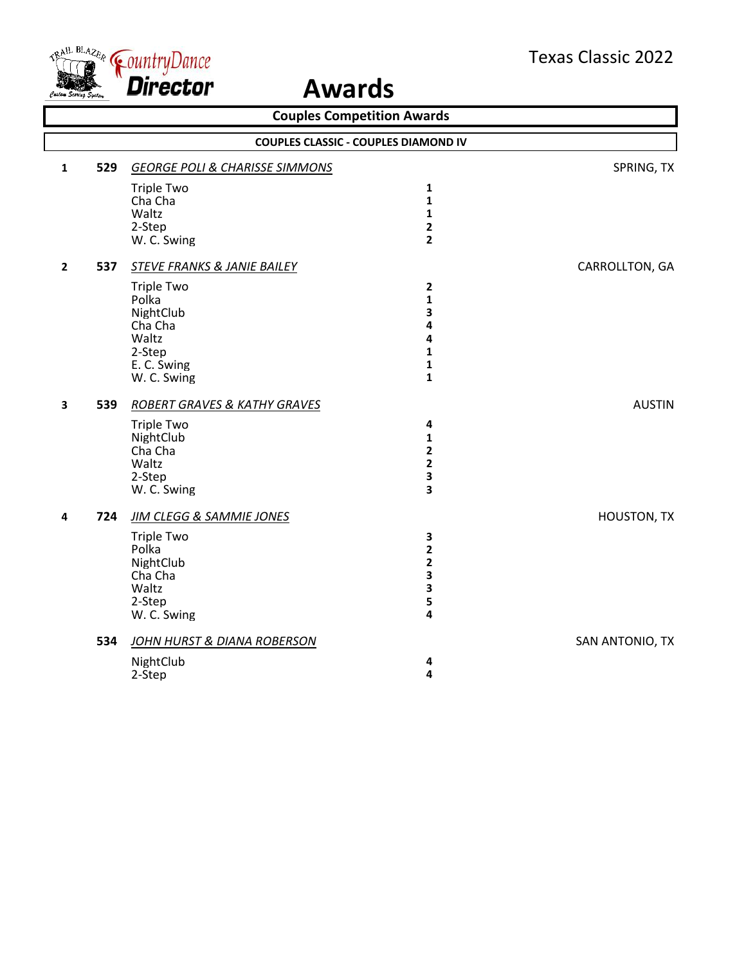

| <b>Couples Competition Awards</b> |     |                                           |                                             |                 |
|-----------------------------------|-----|-------------------------------------------|---------------------------------------------|-----------------|
|                                   |     |                                           | <b>COUPLES CLASSIC - COUPLES DIAMOND IV</b> |                 |
| $\mathbf{1}$                      | 529 | <b>GEORGE POLI &amp; CHARISSE SIMMONS</b> |                                             | SPRING, TX      |
|                                   |     | <b>Triple Two</b>                         | $\mathbf{1}$                                |                 |
|                                   |     | Cha Cha                                   | 1                                           |                 |
|                                   |     | Waltz                                     | 1                                           |                 |
|                                   |     | 2-Step                                    | $\mathbf{2}$                                |                 |
|                                   |     | W. C. Swing                               | $\overline{\mathbf{2}}$                     |                 |
| $\overline{2}$                    | 537 | <b>STEVE FRANKS &amp; JANIE BAILEY</b>    |                                             | CARROLLTON, GA  |
|                                   |     | <b>Triple Two</b>                         | $\mathbf{2}$                                |                 |
|                                   |     | Polka                                     | 1                                           |                 |
|                                   |     | NightClub<br>Cha Cha                      | 3                                           |                 |
|                                   |     | Waltz                                     | 4<br>4                                      |                 |
|                                   |     | 2-Step                                    | $\mathbf{1}$                                |                 |
|                                   |     | E. C. Swing                               | $\mathbf{1}$                                |                 |
|                                   |     | W. C. Swing                               | $\mathbf{1}$                                |                 |
| $\overline{\mathbf{3}}$           | 539 | ROBERT GRAVES & KATHY GRAVES              |                                             | <b>AUSTIN</b>   |
|                                   |     | <b>Triple Two</b>                         | 4                                           |                 |
|                                   |     | NightClub                                 | 1                                           |                 |
|                                   |     | Cha Cha                                   | $\overline{\mathbf{2}}$                     |                 |
|                                   |     | Waltz                                     | 2                                           |                 |
|                                   |     | 2-Step<br>W. C. Swing                     | 3<br>3                                      |                 |
|                                   |     |                                           |                                             |                 |
| 4                                 | 724 | <b>JIM CLEGG &amp; SAMMIE JONES</b>       |                                             | HOUSTON, TX     |
|                                   |     | <b>Triple Two</b>                         | 3                                           |                 |
|                                   |     | Polka                                     | 2                                           |                 |
|                                   |     | NightClub<br>Cha Cha                      | $\overline{\mathbf{2}}$<br>3                |                 |
|                                   |     | Waltz                                     | 3                                           |                 |
|                                   |     | 2-Step                                    | 5                                           |                 |
|                                   |     | W. C. Swing                               | 4                                           |                 |
|                                   | 534 | JOHN HURST & DIANA ROBERSON               |                                             | SAN ANTONIO, TX |
|                                   |     | NightClub                                 | 4                                           |                 |
|                                   |     | 2-Step                                    | 4                                           |                 |
|                                   |     |                                           |                                             |                 |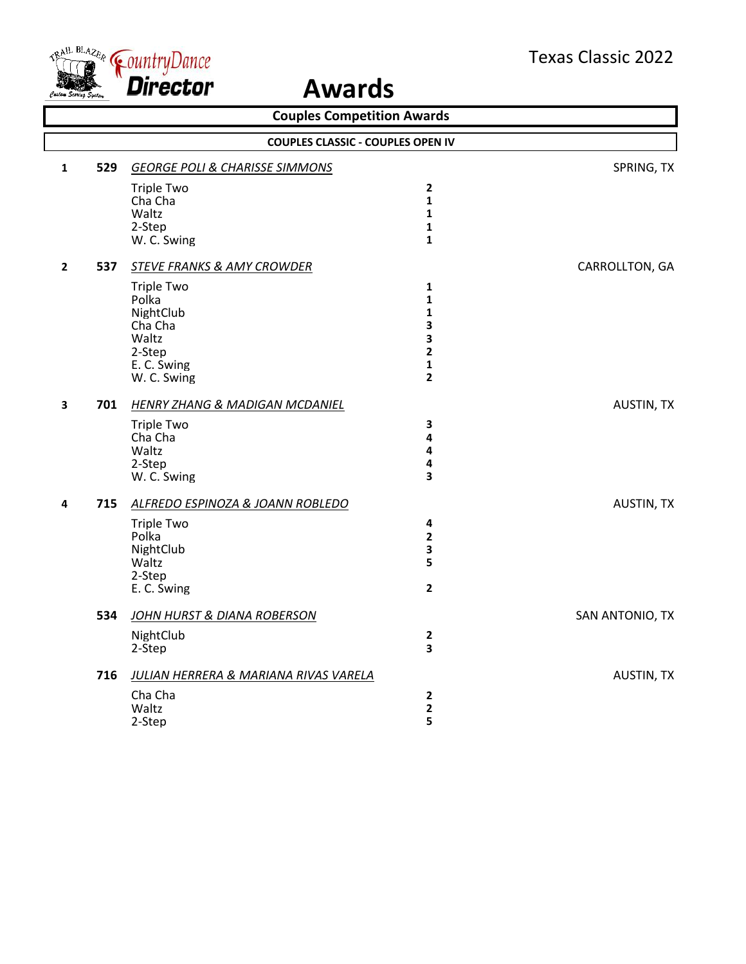

| <b>Couples Competition Awards</b> |                                          |                                           |                         |                   |  |
|-----------------------------------|------------------------------------------|-------------------------------------------|-------------------------|-------------------|--|
|                                   | <b>COUPLES CLASSIC - COUPLES OPEN IV</b> |                                           |                         |                   |  |
| $\mathbf{1}$                      | 529                                      | <b>GEORGE POLI &amp; CHARISSE SIMMONS</b> |                         | SPRING, TX        |  |
|                                   |                                          | <b>Triple Two</b>                         | $\overline{2}$          |                   |  |
|                                   |                                          | Cha Cha                                   | $\mathbf{1}$            |                   |  |
|                                   |                                          | Waltz                                     | $\mathbf{1}$            |                   |  |
|                                   |                                          | 2-Step                                    | 1                       |                   |  |
|                                   |                                          | W. C. Swing                               | $\mathbf{1}$            |                   |  |
| $\mathbf{2}$                      | 537                                      | <b>STEVE FRANKS &amp; AMY CROWDER</b>     |                         | CARROLLTON, GA    |  |
|                                   |                                          | Triple Two                                | 1                       |                   |  |
|                                   |                                          | Polka                                     | $\mathbf{1}$            |                   |  |
|                                   |                                          | NightClub<br>Cha Cha                      | $\mathbf{1}$<br>3       |                   |  |
|                                   |                                          | Waltz                                     | 3                       |                   |  |
|                                   |                                          | 2-Step                                    | $\overline{\mathbf{2}}$ |                   |  |
|                                   |                                          | E. C. Swing                               | 1                       |                   |  |
|                                   |                                          | W. C. Swing                               | $\overline{2}$          |                   |  |
| $\overline{\mathbf{3}}$           | 701                                      | <b>HENRY ZHANG &amp; MADIGAN MCDANIEL</b> |                         | <b>AUSTIN, TX</b> |  |
|                                   |                                          | <b>Triple Two</b>                         | $\overline{\mathbf{3}}$ |                   |  |
|                                   |                                          | Cha Cha                                   | 4                       |                   |  |
|                                   |                                          | Waltz                                     | $\pmb{4}$               |                   |  |
|                                   |                                          | 2-Step                                    | $\pmb{4}$               |                   |  |
|                                   |                                          | W. C. Swing                               | 3                       |                   |  |
| 4                                 | 715                                      | ALFREDO ESPINOZA & JOANN ROBLEDO          |                         | <b>AUSTIN, TX</b> |  |
|                                   |                                          | <b>Triple Two</b>                         | 4                       |                   |  |
|                                   |                                          | Polka                                     | $\overline{\mathbf{2}}$ |                   |  |
|                                   |                                          | NightClub                                 | $\mathbf{3}$            |                   |  |
|                                   |                                          | Waltz                                     | 5                       |                   |  |
|                                   |                                          | 2-Step<br>E. C. Swing                     | $\overline{2}$          |                   |  |
|                                   | 534                                      | JOHN HURST & DIANA ROBERSON               |                         | SAN ANTONIO, TX   |  |
|                                   |                                          | NightClub                                 | $\mathbf 2$             |                   |  |
|                                   |                                          | 2-Step                                    | 3                       |                   |  |
|                                   | 716                                      | JULIAN HERRERA & MARIANA RIVAS VARELA     |                         | <b>AUSTIN, TX</b> |  |
|                                   |                                          | Cha Cha                                   | $\mathbf{2}$            |                   |  |
|                                   |                                          | Waltz                                     | $\mathbf{2}$            |                   |  |
|                                   |                                          | 2-Step                                    | 5                       |                   |  |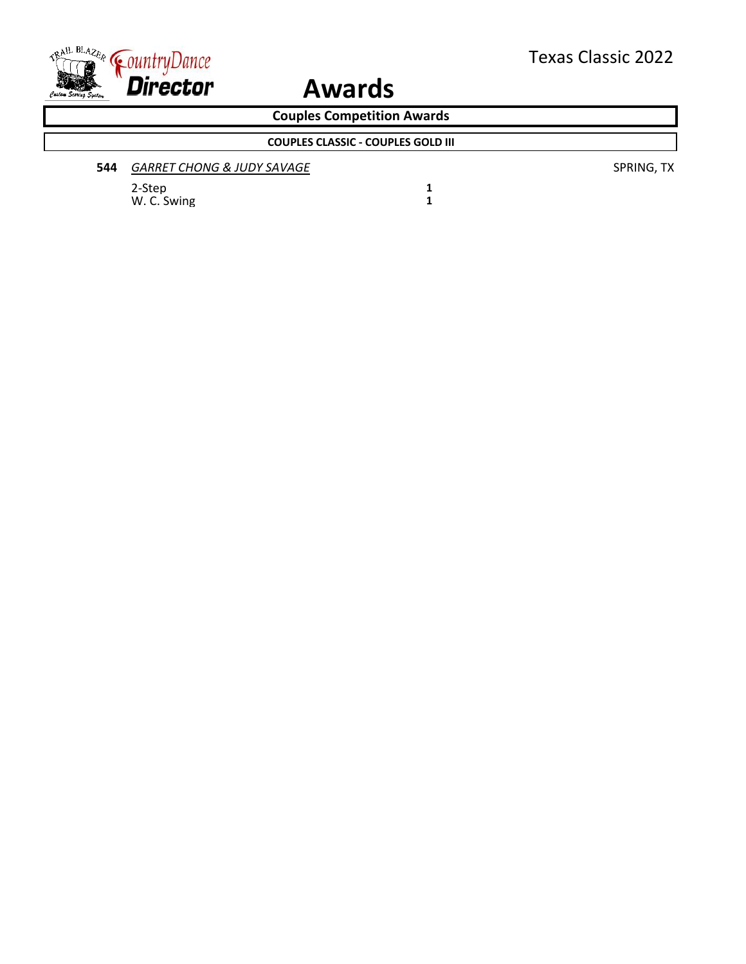

**Couples Competition Awards**

**COUPLES CLASSIC - COUPLES GOLD III**

| 544 | GARRET CHONG & JUDY SAVAGE |
|-----|----------------------------|
|     |                            |

2-Step **1** W. C. Swing **1**  **544** *GARRET CHONG & JUDY SAVAGE* SPRING, TX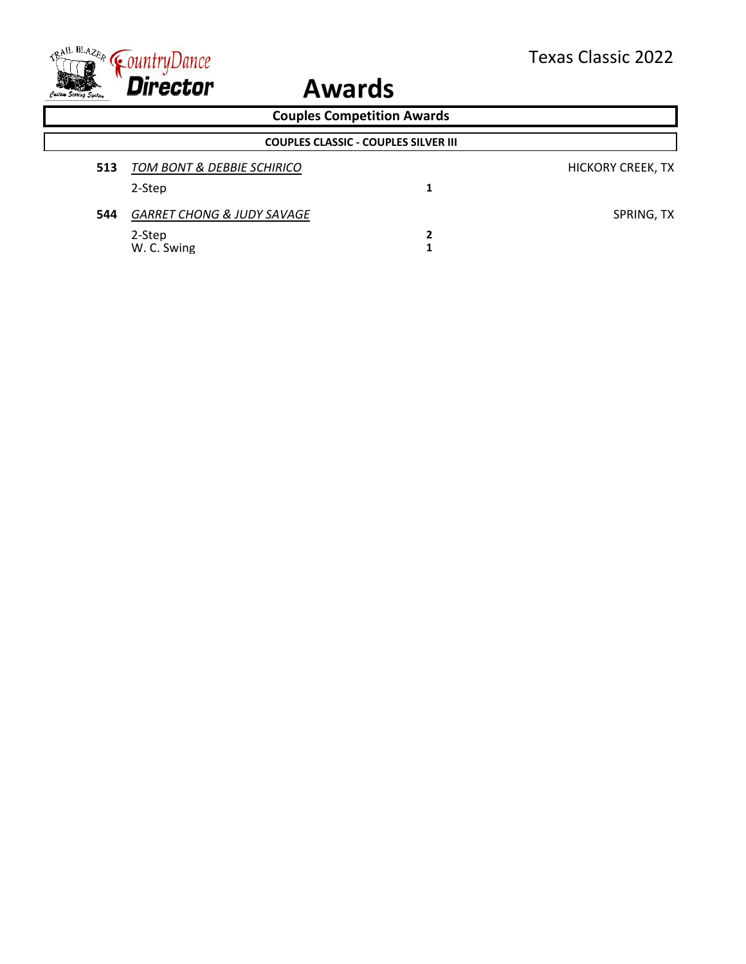

|     | <b>Couples Competition Awards</b>           |   |                          |  |  |  |
|-----|---------------------------------------------|---|--------------------------|--|--|--|
|     | <b>COUPLES CLASSIC - COUPLES SILVER III</b> |   |                          |  |  |  |
| 513 | <b>TOM BONT &amp; DEBBIE SCHIRICO</b>       |   | <b>HICKORY CREEK, TX</b> |  |  |  |
|     | 2-Step                                      |   |                          |  |  |  |
| 544 | <b>GARRET CHONG &amp; JUDY SAVAGE</b>       |   | SPRING, TX               |  |  |  |
|     | 2-Step                                      | 2 |                          |  |  |  |
|     | W. C. Swing                                 |   |                          |  |  |  |
|     |                                             |   |                          |  |  |  |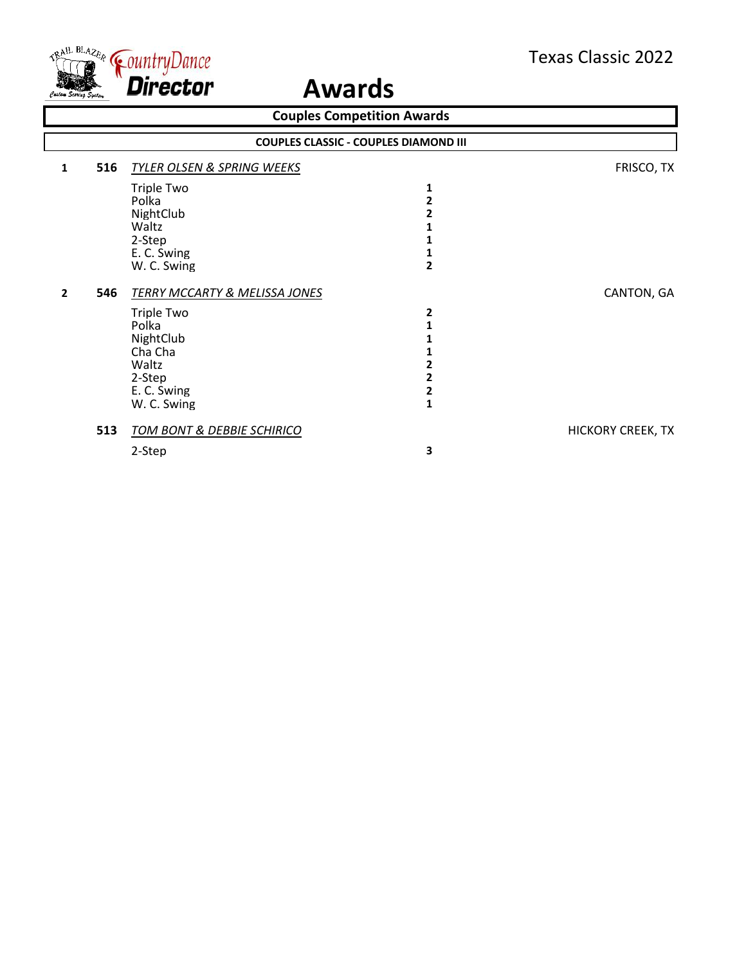

| <b>Couples Competition Awards</b> |                                                                                                                                                        |                                        |                          |  |  |  |
|-----------------------------------|--------------------------------------------------------------------------------------------------------------------------------------------------------|----------------------------------------|--------------------------|--|--|--|
|                                   | <b>COUPLES CLASSIC - COUPLES DIAMOND III</b>                                                                                                           |                                        |                          |  |  |  |
| $\mathbf{1}$                      | <b>TYLER OLSEN &amp; SPRING WEEKS</b><br>516                                                                                                           |                                        | FRISCO, TX               |  |  |  |
|                                   | Triple Two<br>Polka<br>NightClub<br>Waltz<br>2-Step<br>E. C. Swing<br>W. C. Swing                                                                      | 1<br>2<br>2                            |                          |  |  |  |
| $\mathbf{2}$                      | 546<br><b>TERRY MCCARTY &amp; MELISSA JONES</b><br><b>Triple Two</b><br>Polka<br>NightClub<br>Cha Cha<br>Waltz<br>2-Step<br>E. C. Swing<br>W. C. Swing | $\mathbf{2}$<br>2<br>2<br>$\mathbf{1}$ | CANTON, GA               |  |  |  |
|                                   | 513<br>TOM BONT & DEBBIE SCHIRICO<br>2-Step                                                                                                            | 3                                      | <b>HICKORY CREEK, TX</b> |  |  |  |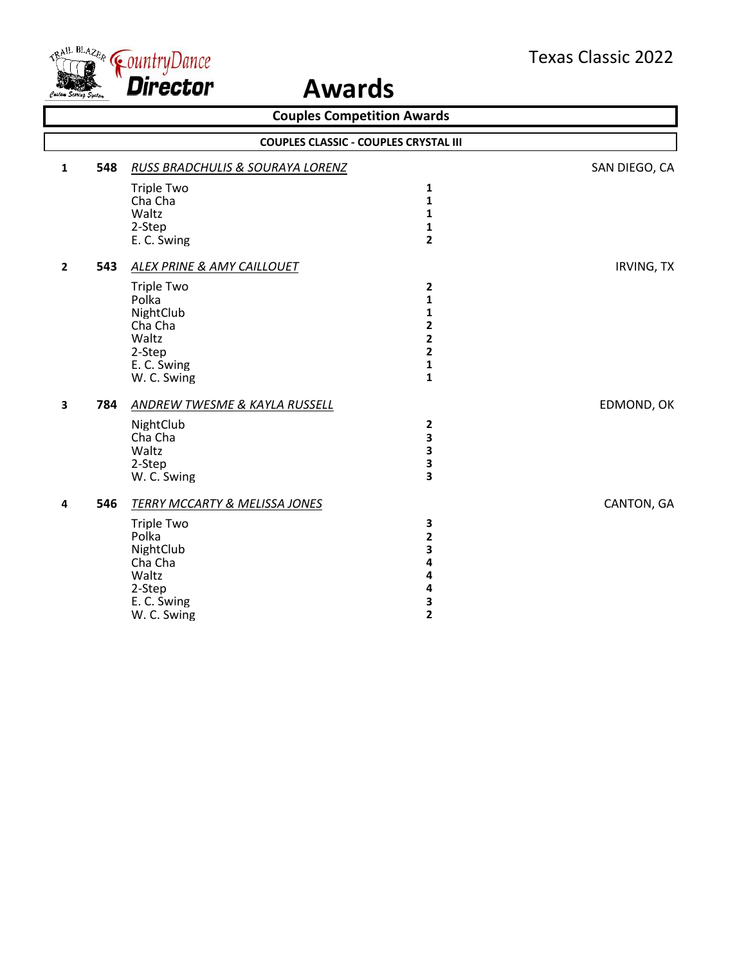

| <b>Couples Competition Awards</b> |     |                                              |                              |               |
|-----------------------------------|-----|----------------------------------------------|------------------------------|---------------|
|                                   |     | <b>COUPLES CLASSIC - COUPLES CRYSTAL III</b> |                              |               |
| 1                                 | 548 | RUSS BRADCHULIS & SOURAYA LORENZ             |                              | SAN DIEGO, CA |
|                                   |     | <b>Triple Two</b>                            | 1                            |               |
|                                   |     | Cha Cha                                      | $\mathbf{1}$                 |               |
|                                   |     | Waltz                                        | $\mathbf{1}$                 |               |
|                                   |     | 2-Step<br>E. C. Swing                        | 1<br>$\overline{2}$          |               |
|                                   |     |                                              |                              |               |
| $\overline{2}$                    | 543 | <b>ALEX PRINE &amp; AMY CAILLOUET</b>        |                              | IRVING, TX    |
|                                   |     | <b>Triple Two</b>                            | 2                            |               |
|                                   |     | Polka                                        | 1                            |               |
|                                   |     | NightClub                                    | 1                            |               |
|                                   |     | Cha Cha<br>Waltz                             | 2<br>$\overline{\mathbf{2}}$ |               |
|                                   |     | 2-Step                                       | $\overline{\mathbf{2}}$      |               |
|                                   |     | E. C. Swing                                  | 1                            |               |
|                                   |     | W. C. Swing                                  | $\mathbf{1}$                 |               |
| 3                                 | 784 | <b>ANDREW TWESME &amp; KAYLA RUSSELL</b>     |                              | EDMOND, OK    |
|                                   |     | NightClub                                    | $\mathbf 2$                  |               |
|                                   |     | Cha Cha                                      | 3                            |               |
|                                   |     | Waltz                                        | 3                            |               |
|                                   |     | 2-Step                                       | 3                            |               |
|                                   |     | W. C. Swing                                  | 3                            |               |
| 4                                 | 546 | <b>TERRY MCCARTY &amp; MELISSA JONES</b>     |                              | CANTON, GA    |
|                                   |     | <b>Triple Two</b>                            | 3                            |               |
|                                   |     | Polka                                        | $\overline{\mathbf{c}}$      |               |
|                                   |     | NightClub                                    | 3                            |               |
|                                   |     | Cha Cha                                      | 4                            |               |
|                                   |     | Waltz<br>2-Step                              | 4<br>4                       |               |
|                                   |     | E. C. Swing                                  | 3                            |               |
|                                   |     | W. C. Swing                                  | $\overline{\mathbf{c}}$      |               |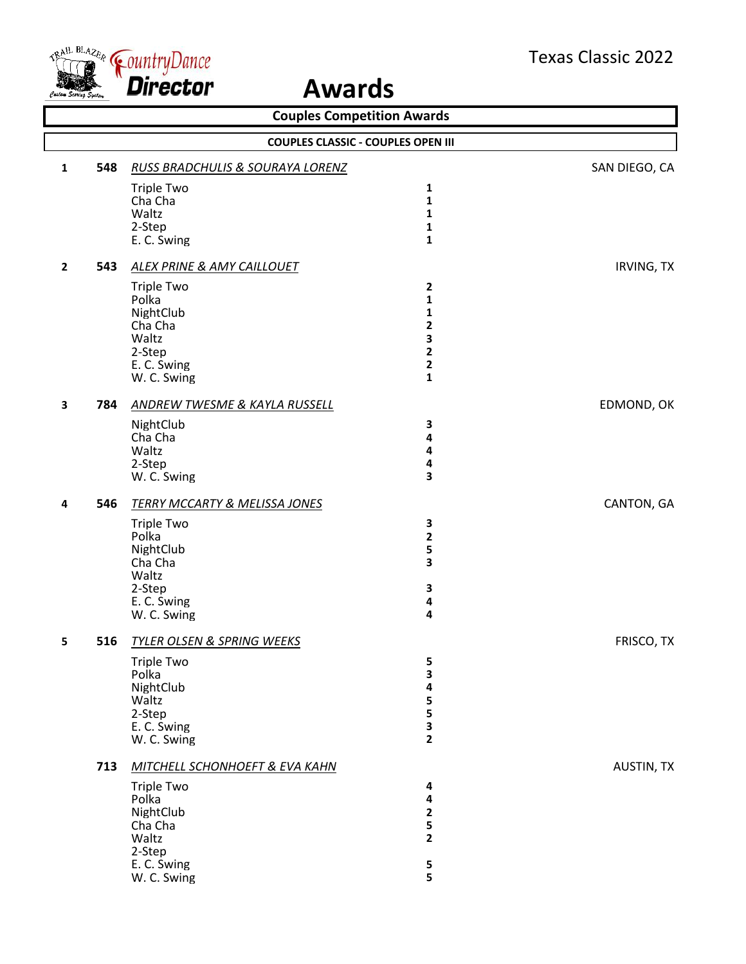

| <b>Couples Competition Awards</b> |                                           |                                                                                                     |                                                                                  |                   |  |
|-----------------------------------|-------------------------------------------|-----------------------------------------------------------------------------------------------------|----------------------------------------------------------------------------------|-------------------|--|
|                                   | <b>COUPLES CLASSIC - COUPLES OPEN III</b> |                                                                                                     |                                                                                  |                   |  |
| 1                                 | 548                                       | <b>RUSS BRADCHULIS &amp; SOURAYA LORENZ</b>                                                         |                                                                                  | SAN DIEGO, CA     |  |
|                                   |                                           | <b>Triple Two</b><br>Cha Cha<br>Waltz<br>2-Step<br>E. C. Swing                                      | 1<br>$\mathbf{1}$<br>1<br>1<br>1                                                 |                   |  |
| $\mathbf{2}$                      | 543                                       | <b>ALEX PRINE &amp; AMY CAILLOUET</b>                                                               |                                                                                  | <b>IRVING, TX</b> |  |
|                                   |                                           | <b>Triple Two</b><br>Polka<br>NightClub<br>Cha Cha<br>Waltz<br>2-Step<br>E. C. Swing<br>W. C. Swing | $\mathbf{2}$<br>1<br>1<br>2<br>3<br>$\mathbf{2}$<br>$\mathbf{2}$<br>$\mathbf{1}$ |                   |  |
| 3                                 | 784                                       | <b>ANDREW TWESME &amp; KAYLA RUSSELL</b>                                                            |                                                                                  | EDMOND, OK        |  |
|                                   |                                           | NightClub<br>Cha Cha<br>Waltz<br>2-Step<br>W. C. Swing                                              | 3<br>4<br>4<br>4<br>3                                                            |                   |  |
| 4                                 | 546                                       | <b>TERRY MCCARTY &amp; MELISSA JONES</b>                                                            |                                                                                  | CANTON, GA        |  |
|                                   |                                           | <b>Triple Two</b><br>Polka<br>NightClub<br>Cha Cha<br>Waltz<br>2-Step<br>E. C. Swing<br>W. C. Swing | 3<br>$\mathbf{2}$<br>5<br>3<br>3<br>4<br>4                                       |                   |  |
| 5                                 | 516                                       | <b>TYLER OLSEN &amp; SPRING WEEKS</b>                                                               |                                                                                  | FRISCO, TX        |  |
|                                   |                                           | <b>Triple Two</b><br>Polka<br>NightClub<br>Waltz<br>2-Step<br>E. C. Swing<br>W. C. Swing            | 5<br>3<br>4<br>5<br>5<br>3<br>$\overline{2}$                                     |                   |  |
|                                   | 713                                       | MITCHELL SCHONHOEFT & EVA KAHN                                                                      |                                                                                  | AUSTIN, TX        |  |
|                                   |                                           | <b>Triple Two</b><br>Polka<br>NightClub<br>Cha Cha<br>Waltz<br>2-Step<br>E. C. Swing<br>W. C. Swing | 4<br>4<br>$\mathbf{2}$<br>5<br>$\overline{2}$<br>5<br>5                          |                   |  |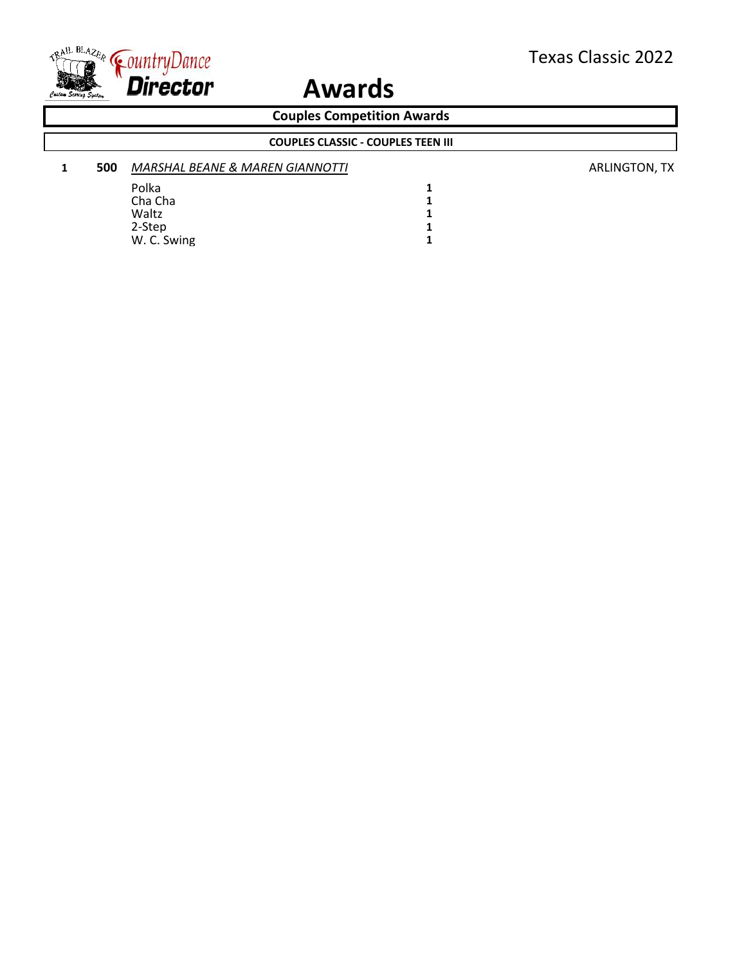

**Couples Competition Awards**

**COUPLES CLASSIC - COUPLES TEEN III**

| 1 | 500 | <b>MARSHAL BEANE &amp; MAREN GIANNOTTI</b> |  |  |
|---|-----|--------------------------------------------|--|--|
|   |     | Polka                                      |  |  |
|   |     | Cha Cha                                    |  |  |
|   |     | Waltz                                      |  |  |
|   |     | 2-Step                                     |  |  |
|   |     | W. C. Swing                                |  |  |

**1 500** *MARSHAL BEANE & MAREN GIANNOTTI* ARLINGTON, TX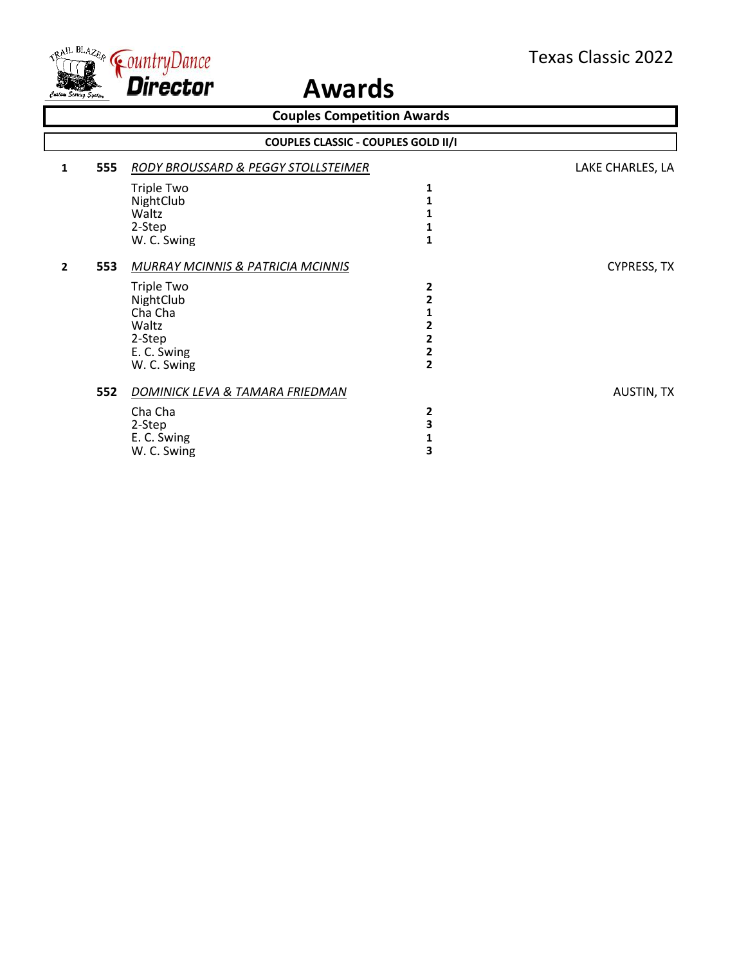

| <b>Couples Competition Awards</b> |                                            |                                                                                            |                                                    |                    |  |  |
|-----------------------------------|--------------------------------------------|--------------------------------------------------------------------------------------------|----------------------------------------------------|--------------------|--|--|
|                                   | <b>COUPLES CLASSIC - COUPLES GOLD II/I</b> |                                                                                            |                                                    |                    |  |  |
| 1                                 | 555                                        | <b>RODY BROUSSARD &amp; PEGGY STOLLSTEIMER</b>                                             |                                                    | LAKE CHARLES, LA   |  |  |
|                                   |                                            | Triple Two<br>NightClub<br>Waltz<br>2-Step                                                 | 1                                                  |                    |  |  |
| $\overline{2}$                    | 553                                        | W. C. Swing<br><b>MURRAY MCINNIS &amp; PATRICIA MCINNIS</b>                                | 1                                                  | <b>CYPRESS, TX</b> |  |  |
|                                   |                                            | <b>Triple Two</b><br>NightClub<br>Cha Cha<br>Waltz<br>2-Step<br>E. C. Swing<br>W. C. Swing | 2<br>2<br>2<br>2<br>$\mathbf{2}$<br>$\overline{2}$ |                    |  |  |
|                                   | 552                                        | DOMINICK LEVA & TAMARA FRIEDMAN<br>Cha Cha<br>2-Step<br>E. C. Swing<br>W. C. Swing         | 2<br>3<br>3                                        | <b>AUSTIN, TX</b>  |  |  |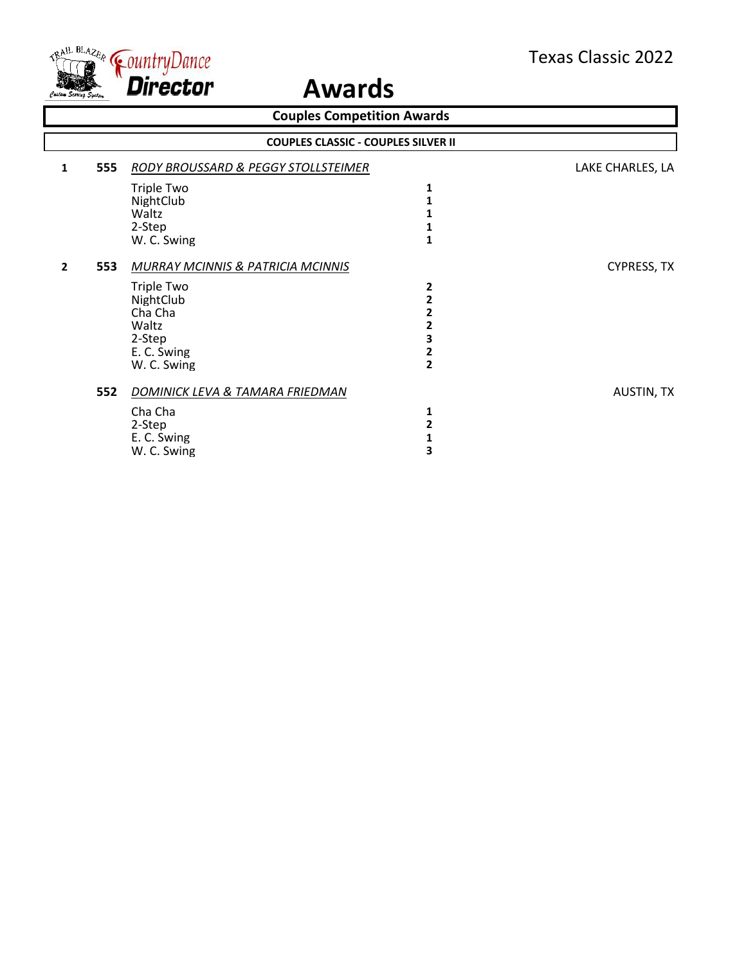

| <b>Couples Competition Awards</b> |                                            |                                                                                    |                                                    |                    |  |  |
|-----------------------------------|--------------------------------------------|------------------------------------------------------------------------------------|----------------------------------------------------|--------------------|--|--|
|                                   | <b>COUPLES CLASSIC - COUPLES SILVER II</b> |                                                                                    |                                                    |                    |  |  |
| 1                                 | 555                                        | <b>RODY BROUSSARD &amp; PEGGY STOLLSTEIMER</b>                                     |                                                    | LAKE CHARLES, LA   |  |  |
|                                   |                                            | Triple Two<br>NightClub<br>Waltz<br>2-Step                                         | 1                                                  |                    |  |  |
| $\overline{2}$                    | 553                                        | W. C. Swing<br><b>MURRAY MCINNIS &amp; PATRICIA MCINNIS</b><br><b>Triple Two</b>   | 1<br>2                                             | <b>CYPRESS, TX</b> |  |  |
|                                   |                                            | NightClub<br>Cha Cha<br>Waltz<br>2-Step<br>E. C. Swing<br>W. C. Swing              | 2<br>2<br>2<br>3<br>$\mathbf{2}$<br>$\overline{2}$ |                    |  |  |
|                                   | 552                                        | DOMINICK LEVA & TAMARA FRIEDMAN<br>Cha Cha<br>2-Step<br>E. C. Swing<br>W. C. Swing | 1<br>2<br>3                                        | <b>AUSTIN, TX</b>  |  |  |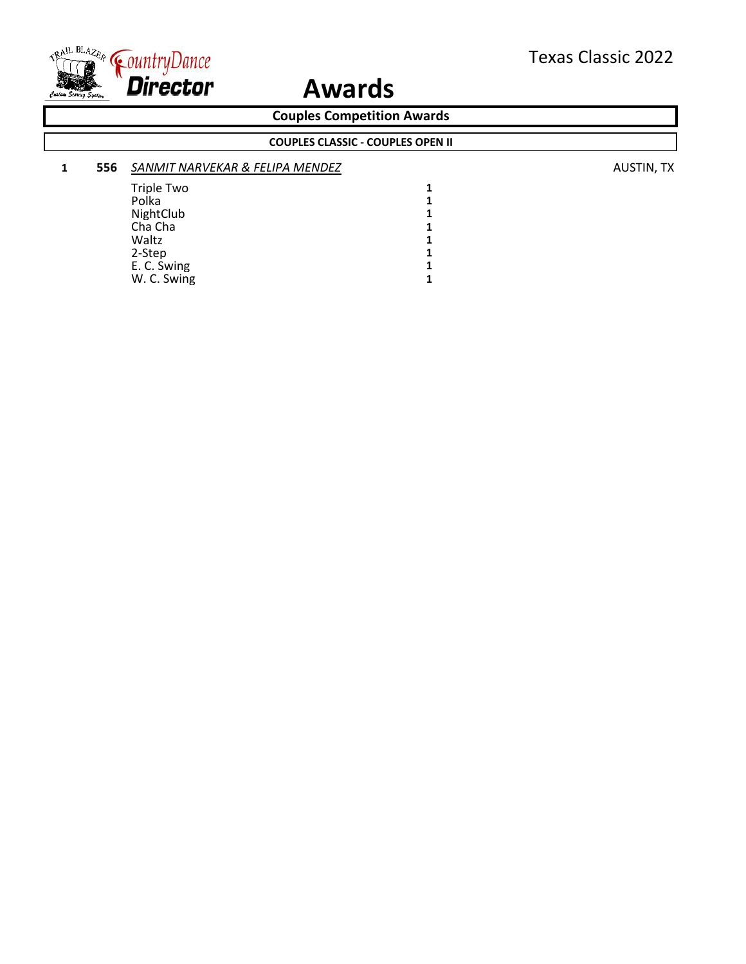

**Couples Competition Awards**

### **COUPLES CLASSIC - COUPLES OPEN II**

| 1 | 556 | SANMIT NARVEKAR & FELIPA MENDEZ |  |  |  |
|---|-----|---------------------------------|--|--|--|
|   |     | Triple Two                      |  |  |  |
|   |     | Polka                           |  |  |  |
|   |     | NightClub                       |  |  |  |
|   |     | Cha Cha                         |  |  |  |
|   |     | Waltz                           |  |  |  |
|   |     | 2-Step                          |  |  |  |
|   |     | E. C. Swing                     |  |  |  |
|   |     | W. C. Swing                     |  |  |  |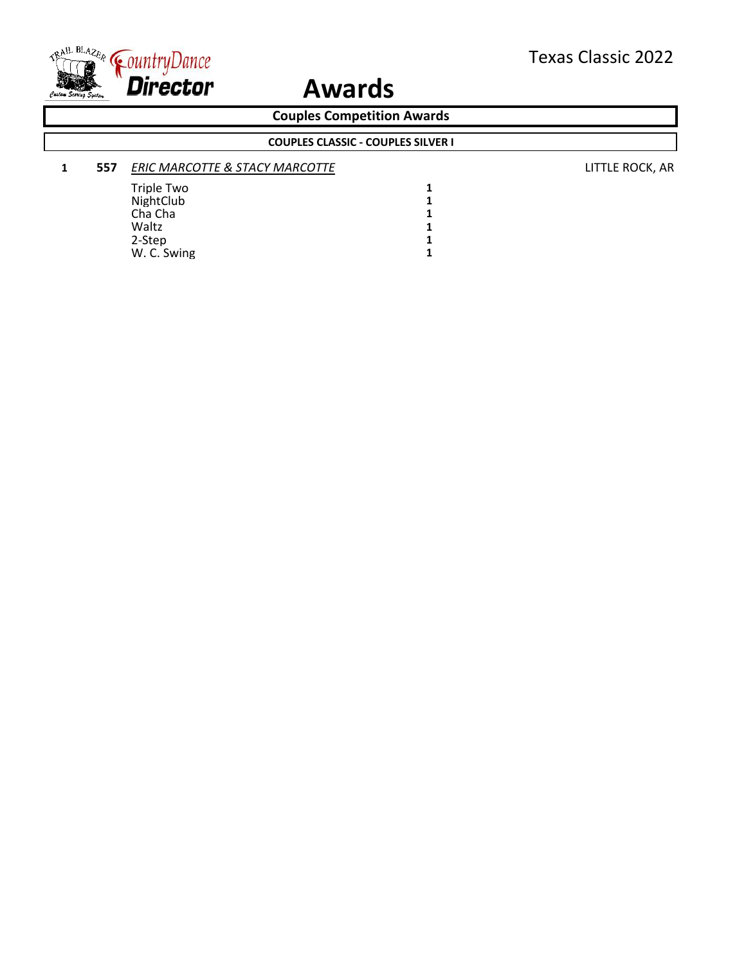

**Couples Competition Awards**

**COUPLES CLASSIC - COUPLES SILVER I**

| 557 |  | <b>ERIC MARCOTTE &amp; STACY MARCOTTE</b> |  |  |
|-----|--|-------------------------------------------|--|--|
|     |  | Triple Two                                |  |  |
|     |  | NightClub                                 |  |  |
|     |  | Cha Cha                                   |  |  |
|     |  | Waltz                                     |  |  |
|     |  | 2-Step                                    |  |  |

W. C. Swing **1**

**1 557** *ERIC MARCOTTE & STACY MARCOTTE* LITTLE ROCK, AR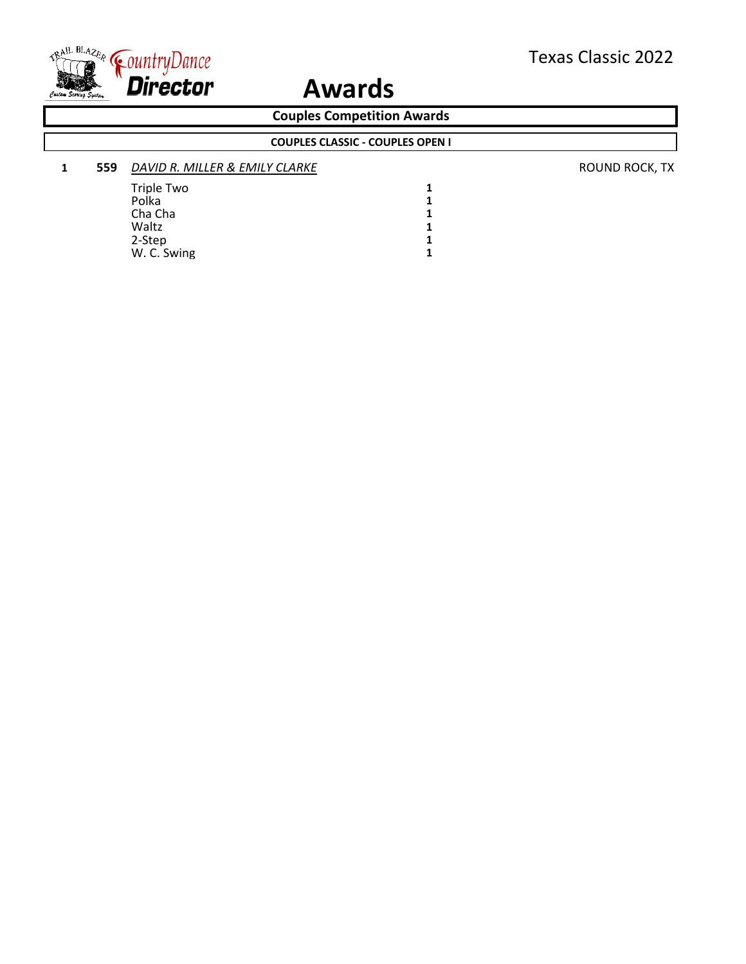

W. C. Swing

## **Awards**

**Couples Competition Awards**

**1 559** *DAVID R. MILLER & EMILY CLARKE* **ROUND ROCK, TX ROUND ROCK, TX** Triple Two 1<br>Polka 1 Polka **1** Cha Cha **1**<br>Waltz **1** Waltz 1<br>2-Step 1 2-Step 1<br>W. C. Swing 1 **COUPLES CLASSIC - COUPLES OPEN I**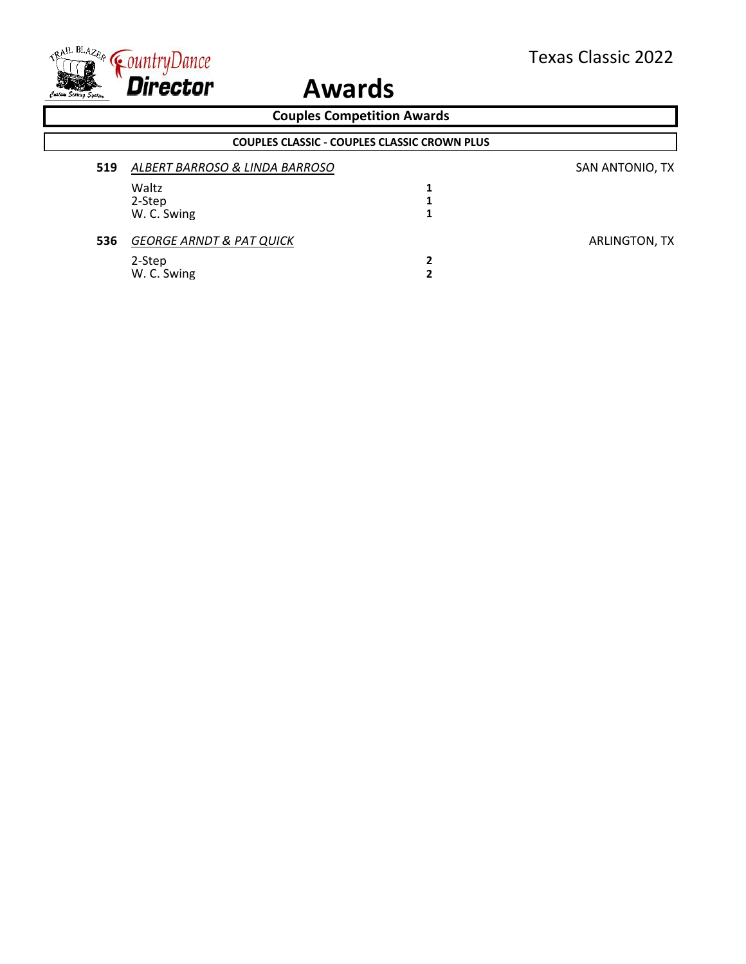

 $\overline{\Gamma}$ 

| <b>Couples Competition Awards</b>                   |     |                                     |   |                 |  |  |
|-----------------------------------------------------|-----|-------------------------------------|---|-----------------|--|--|
| <b>COUPLES CLASSIC - COUPLES CLASSIC CROWN PLUS</b> |     |                                     |   |                 |  |  |
|                                                     | 519 | ALBERT BARROSO & LINDA BARROSO      |   | SAN ANTONIO, TX |  |  |
|                                                     |     | Waltz                               | 1 |                 |  |  |
|                                                     |     | 2-Step                              |   |                 |  |  |
|                                                     |     | W. C. Swing                         | 1 |                 |  |  |
|                                                     | 536 | <b>GEORGE ARNDT &amp; PAT QUICK</b> |   | ARLINGTON, TX   |  |  |
|                                                     |     | 2-Step                              | 2 |                 |  |  |
|                                                     |     | W. C. Swing                         | 2 |                 |  |  |
|                                                     |     |                                     |   |                 |  |  |
|                                                     |     |                                     |   |                 |  |  |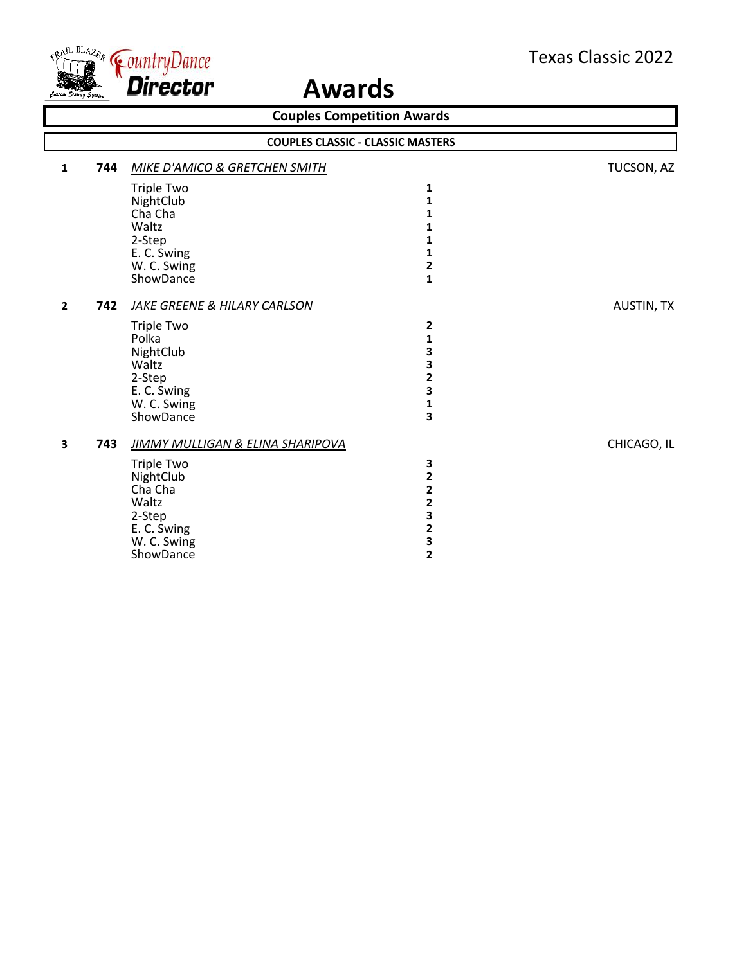

| <b>Couples Competition Awards</b><br><b>COUPLES CLASSIC - CLASSIC MASTERS</b> |     |                                                                                                                                                        |                                                                                                                              |                   |  |
|-------------------------------------------------------------------------------|-----|--------------------------------------------------------------------------------------------------------------------------------------------------------|------------------------------------------------------------------------------------------------------------------------------|-------------------|--|
|                                                                               |     |                                                                                                                                                        |                                                                                                                              |                   |  |
|                                                                               |     | <b>Triple Two</b><br>NightClub<br>Cha Cha<br>Waltz<br>2-Step<br>E. C. Swing<br>W. C. Swing                                                             | 1<br>1<br>1<br>1<br>1<br>1<br>$\overline{\mathbf{2}}$                                                                        |                   |  |
| $\overline{2}$                                                                | 742 | ShowDance<br>JAKE GREENE & HILARY CARLSON                                                                                                              | $\mathbf{1}$                                                                                                                 | <b>AUSTIN, TX</b> |  |
|                                                                               |     | <b>Triple Two</b><br>Polka<br>NightClub<br>Waltz<br>2-Step<br>E. C. Swing<br>W. C. Swing<br>ShowDance                                                  | 2<br>1<br>3<br>3<br>$\overline{\mathbf{c}}$<br>3<br>$\mathbf{1}$<br>3                                                        |                   |  |
| 3                                                                             | 743 | <b>JIMMY MULLIGAN &amp; ELINA SHARIPOVA</b><br><b>Triple Two</b><br>NightClub<br>Cha Cha<br>Waltz<br>2-Step<br>E. C. Swing<br>W. C. Swing<br>ShowDance | 3<br>$\overline{\mathbf{2}}$<br>$\overline{\mathbf{c}}$<br>2<br>3<br>$\overline{\mathbf{c}}$<br>3<br>$\overline{\mathbf{c}}$ | CHICAGO, IL       |  |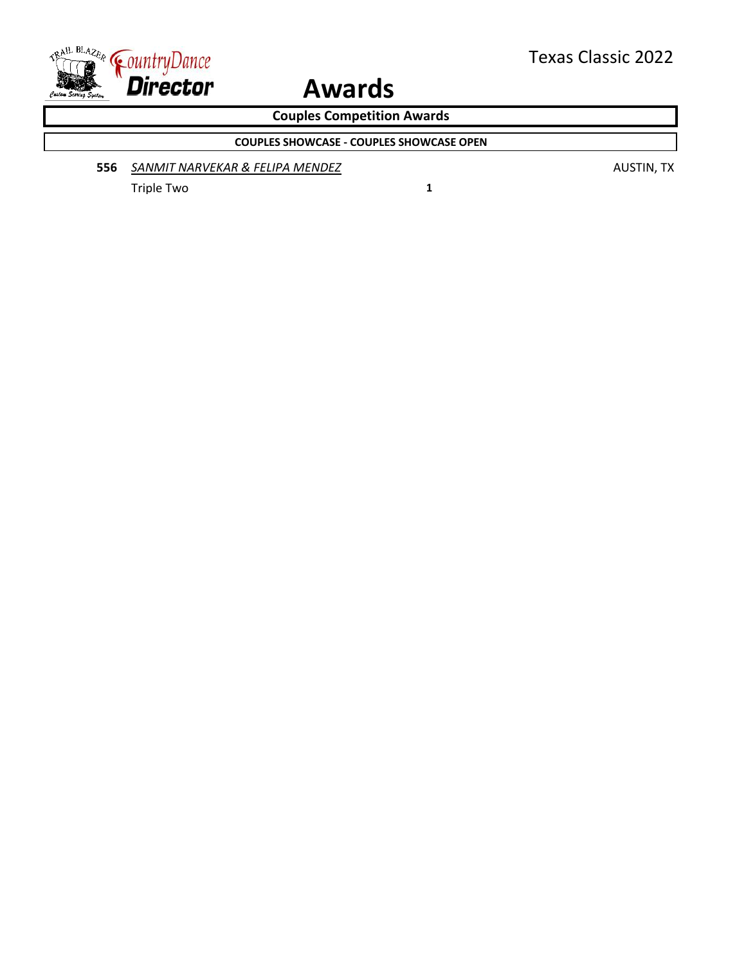

**Couples Competition Awards**

**COUPLES SHOWCASE - COUPLES SHOWCASE OPEN**

**556** *SANMIT NARVEKAR & FELIPA MENDEZ* AUSTIN, TX

Triple Two **1**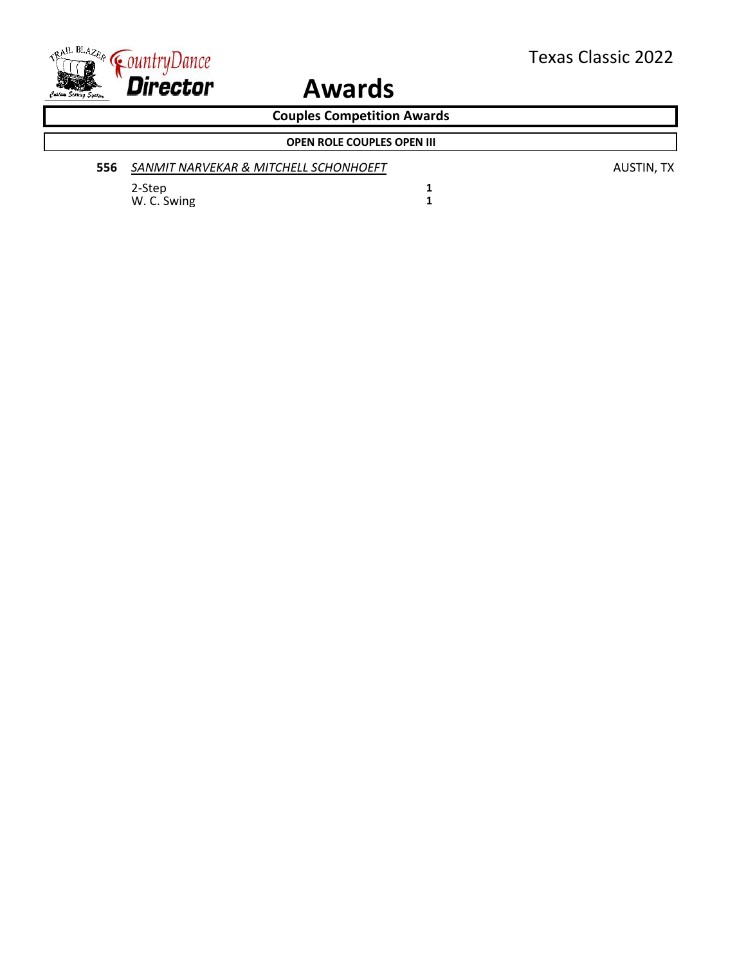

**Couples Competition Awards**

|     | <b>OPEN ROLE COUPLES OPEN III</b>     |
|-----|---------------------------------------|
| 556 | SANMIT NARVEKAR & MITCHELL SCHONHOEFT |

2-Step **1** W. C. Swing **1**  **556** *SANMIT NARVEKAR & MITCHELL SCHONHOEFT* AUSTIN, TX